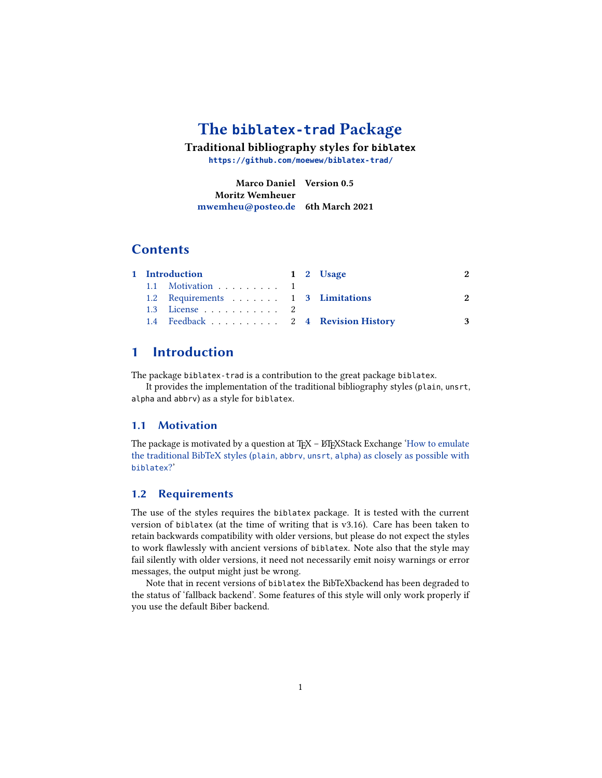# **The [biblatex-trad](https://github.com/moewew/biblatex-trad/) Package**

**Traditional bibliography styles for biblatex**

**<https://github.com/moewew/biblatex-trad/>**

**Marco Daniel Version 0.5 Moritz Wemheuer [mwemheu@posteo.de](mailto:mwemheu@posteo.de) 6th March 2021**

### **Contents**

|  |                |                                   | 2                                                                                  |
|--|----------------|-----------------------------------|------------------------------------------------------------------------------------|
|  |                |                                   |                                                                                    |
|  |                |                                   | 2                                                                                  |
|  |                |                                   |                                                                                    |
|  |                |                                   | 3                                                                                  |
|  | 1 Introduction | 1.1 Motivation 1<br>1.3 License 2 | 1 2 Usage<br>1.2 Requirements 1 3 Limitations<br>1.4 Feedback 2 4 Revision History |

# <span id="page-0-0"></span>**1 Introduction**

The package biblatex-trad is a contribution to the great package biblatex.

It provides the implementation of the traditional bibliography styles (plain, unsrt, alpha and abbrv) as a style for biblatex.

### <span id="page-0-1"></span>**1.1 Motivation**

The package is motivated by a question at TEX - ETEXStack Exchange ['How to emulate](http://tex.stackexchange.com/a/69706/) [the traditional BibTeX styles \(](http://tex.stackexchange.com/a/69706/)plain, abbrv, unsrt, alpha) as closely as possible with [biblatex](http://tex.stackexchange.com/a/69706/)?'

### <span id="page-0-2"></span>**1.2 Requirements**

The use of the styles requires the biblatex package. It is tested with the current version of biblatex (at the time of writing that is v3.16). Care has been taken to retain backwards compatibility with older versions, but please do not expect the styles to work flawlessly with ancient versions of biblatex. Note also that the style may fail silently with older versions, it need not necessarily emit noisy warnings or error messages, the output might just be wrong.

Note that in recent versions of biblatex the BibTeXbackend has been degraded to the status of 'fallback backend'. Some features of this style will only work properly if you use the default Biber backend.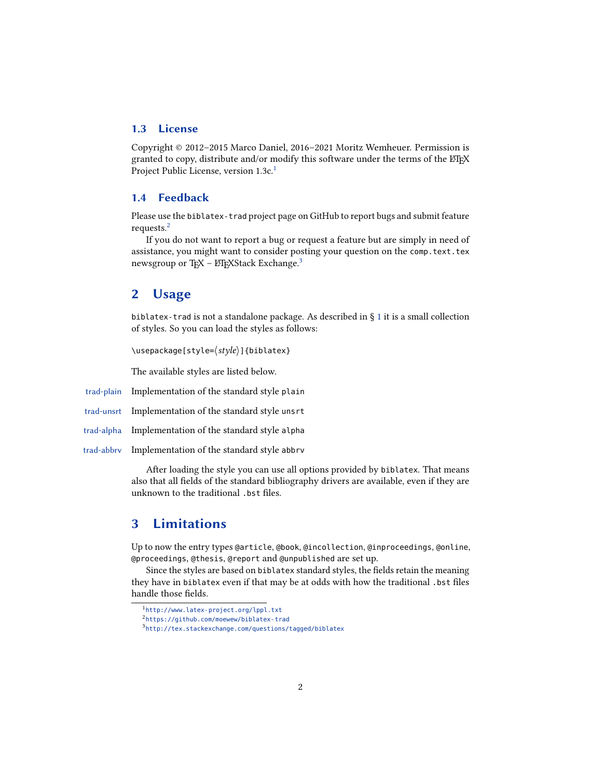### <span id="page-1-0"></span>**1.3 License**

Copyright © 2012–2015 Marco Daniel, 2016–2021 Moritz Wemheuer. Permission is granted to copy, distribute and/or modify this software under the terms of the LATEX Project Public License, version [1](#page-1-4).3c.<sup>1</sup>

### <span id="page-1-1"></span>**1.4 Feedback**

Please use the biblatex-trad project page on GitHub to report bugs and submit feature requests.[2](#page-1-5)

If you do not want to report a bug or request a feature but are simply in need of assistance, you might want to consider posting your question on the comp.text.tex newsgroup or T<sub>F</sub>X – LAT<sub>E</sub>XStack Exchange.<sup>[3](#page-1-6)</sup>

### <span id="page-1-2"></span>**2 Usage**

biblatex-trad is not a standalone package. As described in  $\S 1$  $\S 1$  it is a small collection of styles. So you can load the styles as follows:

\usepackage[style= $\langle style\rangle$ ]{biblatex}

The available styles are listed below.

trad-plain Implementation of the standard style plain

trad-unsrt Implementation of the standard style unsrt

trad-alpha Implementation of the standard style alpha

trad-abbrv Implementation of the standard style abbrv

After loading the style you can use all options provided by biblatex. That means also that all fields of the standard bibliography drivers are available, even if they are unknown to the traditional .bst files.

# <span id="page-1-3"></span>**3 Limitations**

Up to now the entry types @article, @book, @incollection, @inproceedings, @online, @proceedings, @thesis, @report and @unpublished are set up.

Since the styles are based on biblatex standard styles, the fields retain the meaning they have in biblatex even if that may be at odds with how the traditional .bst files handle those fields.

<span id="page-1-4"></span><sup>1</sup> <http://www.latex-project.org/lppl.txt>

<span id="page-1-5"></span><sup>2</sup> <https://github.com/moewew/biblatex-trad>

<span id="page-1-6"></span><sup>3</sup> <http://tex.stackexchange.com/questions/tagged/biblatex>